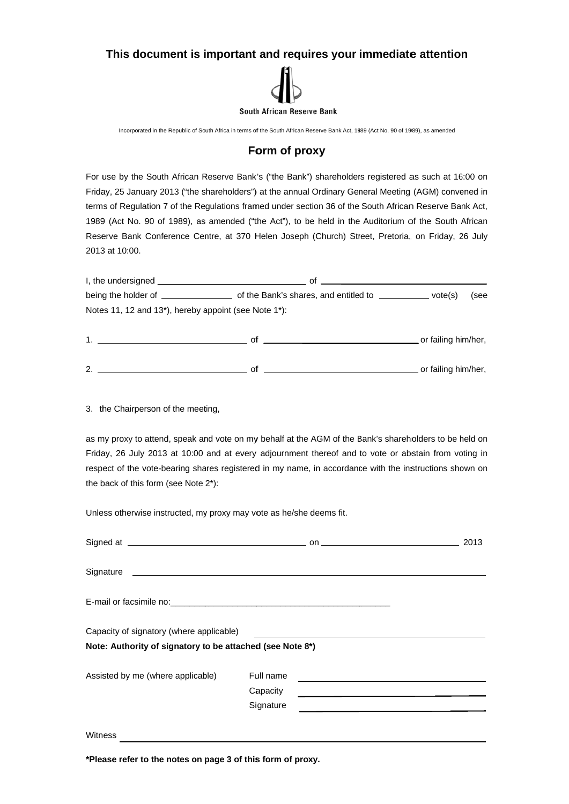## This document is important and requires your immediate attention



Incorporated in the Republic of South Africa in terms of the South African Reserve Bank Act, 1989 (Act No. 90 of 1989), as amended

## Form of proxy

For use by the South African Reserve Bank's ("the Bank") shareholders registered as such at 16:00 on Friday, 25 January 2013 ("the shareholders") at the annual Ordinary General Meeting (AGM) convened in terms of Regulation 7 of the Regulations framed under section 36 of the South African Reserve Bank Act, 1989 (Act No. 90 of 1989), as amended ("the Act"), to be held in the Auditorium of the South African Reserve Bank Conference Centre, at 370 Helen Joseph (Church) Street, Pretoria, on Friday, 26 July 2013 at 10:00.

| I, the undersigned is a series of the set of the set of the set of the set of the set of the set of the set of the set of the set of the set of the set of the set of the set of the set of the set of the set of the set of t<br>Οt |      |
|--------------------------------------------------------------------------------------------------------------------------------------------------------------------------------------------------------------------------------------|------|
| vote(s)                                                                                                                                                                                                                              | (see |
| Notes 11, 12 and 13 <sup>*</sup> ), hereby appoint (see Note 1 <sup>*</sup> ):                                                                                                                                                       |      |
|                                                                                                                                                                                                                                      |      |

|               | _or failing him/her, |
|---------------|----------------------|
|               |                      |
| ົ<br><u>.</u> | or failing him/her.  |

3. the Chairperson of the meeting,

as my proxy to attend, speak and vote on my behalf at the AGM of the Bank's shareholders to be held on Friday, 26 July 2013 at 10:00 and at every adjournment thereof and to vote or abstain from voting in respect of the vote-bearing shares registered in my name, in accordance with the instructions shown on the back of this form (see Note 2\*):

Unless otherwise instructed, my proxy may vote as he/she deems fit.

| Signed at 2013                                            |           |                                                                     |
|-----------------------------------------------------------|-----------|---------------------------------------------------------------------|
|                                                           |           |                                                                     |
|                                                           |           |                                                                     |
| Capacity of signatory (where applicable)                  |           |                                                                     |
| Note: Authority of signatory to be attached (see Note 8*) |           |                                                                     |
| Assisted by me (where applicable)                         | Full name |                                                                     |
|                                                           | Capacity  | <u> 1989 - Johann Stein, mars an deus Amerikaansk kommunister (</u> |
|                                                           | Signature |                                                                     |
| Witness                                                   |           |                                                                     |

\*Please refer to the notes on page 3 of this form of proxy.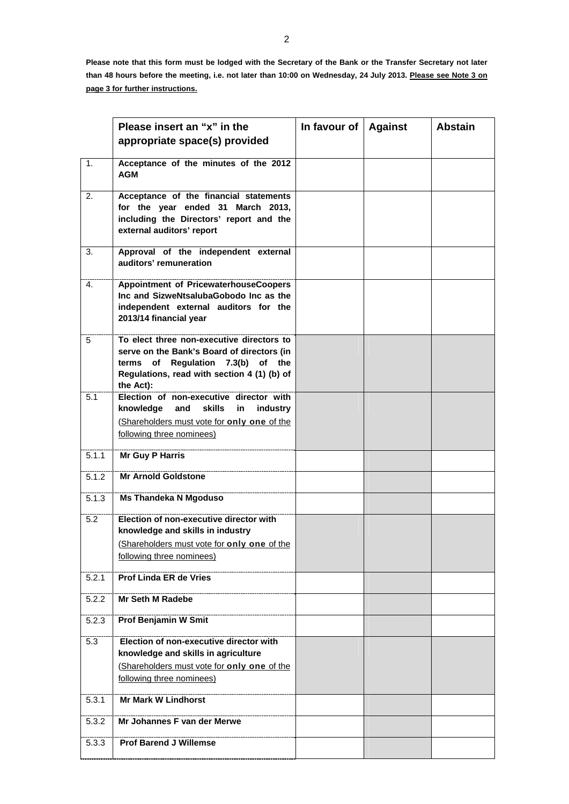**Please note that this form must be lodged with the Secretary of the Bank or the Transfer Secretary not later than 48 hours before the meeting, i.e. not later than 10:00 on Wednesday, 24 July 2013. Please see Note 3 on page 3 for further instructions.** 

|                | Please insert an "x" in the<br>appropriate space(s) provided                                                                                                                             | In favour of $ $ Against | <b>Abstain</b> |
|----------------|------------------------------------------------------------------------------------------------------------------------------------------------------------------------------------------|--------------------------|----------------|
|                |                                                                                                                                                                                          |                          |                |
| 1 <sub>1</sub> | Acceptance of the minutes of the 2012<br><b>AGM</b>                                                                                                                                      |                          |                |
| 2.             | Acceptance of the financial statements<br>for the year ended 31 March 2013,<br>including the Directors' report and the<br>external auditors' report                                      |                          |                |
| 3.             | Approval of the independent external<br>auditors' remuneration                                                                                                                           |                          |                |
| 4.             | Appointment of PricewaterhouseCoopers<br>Inc and SizweNtsalubaGobodo Inc as the<br>independent external auditors for the<br>2013/14 financial year                                       |                          |                |
| 5              | To elect three non-executive directors to<br>serve on the Bank's Board of directors (in<br>terms of Regulation 7.3(b) of the<br>Regulations, read with section 4 (1) (b) of<br>the Act): |                          |                |
| 5.1            | Election of non-executive director with<br>knowledge and skills<br>industry<br>in<br>(Shareholders must vote for only one of the<br>following three nominees)                            |                          |                |
| 5.1.1          | <b>Mr Guy P Harris</b>                                                                                                                                                                   |                          |                |
| 5.1.2          | <b>Mr Arnold Goldstone</b>                                                                                                                                                               |                          |                |
| 5.1.3          | <b>Ms Thandeka N Mgoduso</b>                                                                                                                                                             |                          |                |
| 5.2            | Election of non-executive director with<br>knowledge and skills in industry<br>(Shareholders must vote for only one of the                                                               |                          |                |
|                | following three nominees)                                                                                                                                                                |                          |                |
| 5.2.1          | <b>Prof Linda ER de Vries</b>                                                                                                                                                            |                          |                |
| 5.2.2          | Mr Seth M Radebe                                                                                                                                                                         |                          |                |
| 5.2.3          | Prof Benjamin W Smit                                                                                                                                                                     |                          |                |
| 5.3            | Election of non-executive director with<br>knowledge and skills in agriculture<br>(Shareholders must vote for only one of the<br>following three nominees)                               |                          |                |
| 5.3.1          | <b>Mr Mark W Lindhorst</b>                                                                                                                                                               |                          |                |
| 5.3.2          | Mr Johannes F van der Merwe                                                                                                                                                              |                          |                |
| 5.3.3          | <b>Prof Barend J Willemse</b>                                                                                                                                                            |                          |                |